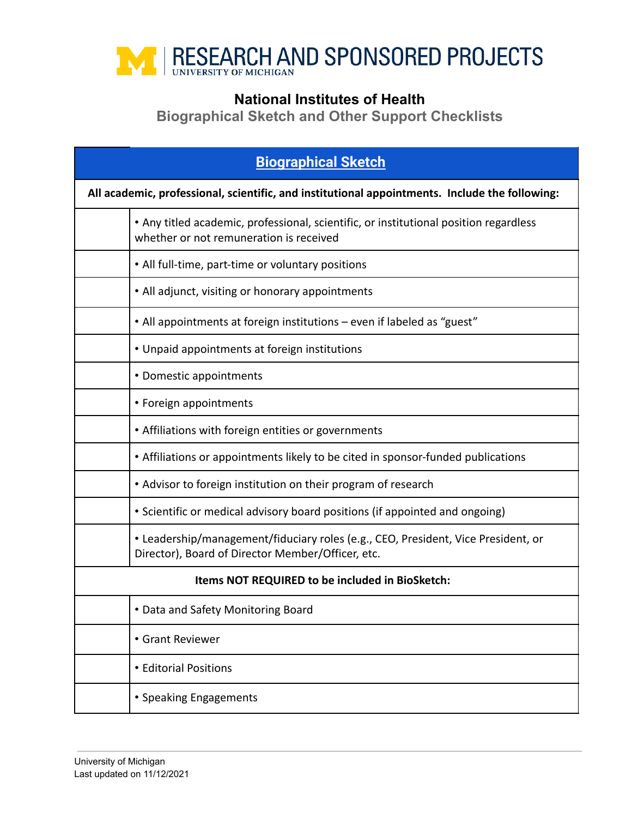

## **National Institutes of Health**

**Biographical Sketch and Other Support Checklists**

| <b>Biographical Sketch</b>                                                                     |                                                                                                                                        |  |
|------------------------------------------------------------------------------------------------|----------------------------------------------------------------------------------------------------------------------------------------|--|
| All academic, professional, scientific, and institutional appointments. Include the following: |                                                                                                                                        |  |
|                                                                                                | • Any titled academic, professional, scientific, or institutional position regardless<br>whether or not remuneration is received       |  |
|                                                                                                | • All full-time, part-time or voluntary positions                                                                                      |  |
|                                                                                                | • All adjunct, visiting or honorary appointments                                                                                       |  |
|                                                                                                | • All appointments at foreign institutions - even if labeled as "guest"                                                                |  |
|                                                                                                | • Unpaid appointments at foreign institutions                                                                                          |  |
|                                                                                                | • Domestic appointments                                                                                                                |  |
|                                                                                                | • Foreign appointments                                                                                                                 |  |
|                                                                                                | • Affiliations with foreign entities or governments                                                                                    |  |
|                                                                                                | • Affiliations or appointments likely to be cited in sponsor-funded publications                                                       |  |
|                                                                                                | • Advisor to foreign institution on their program of research                                                                          |  |
|                                                                                                | • Scientific or medical advisory board positions (if appointed and ongoing)                                                            |  |
|                                                                                                | • Leadership/management/fiduciary roles (e.g., CEO, President, Vice President, or<br>Director), Board of Director Member/Officer, etc. |  |
| Items NOT REQUIRED to be included in BioSketch:                                                |                                                                                                                                        |  |
|                                                                                                | Data and Safety Monitoring Board                                                                                                       |  |
|                                                                                                | • Grant Reviewer                                                                                                                       |  |
|                                                                                                | • Editorial Positions                                                                                                                  |  |
|                                                                                                | • Speaking Engagements                                                                                                                 |  |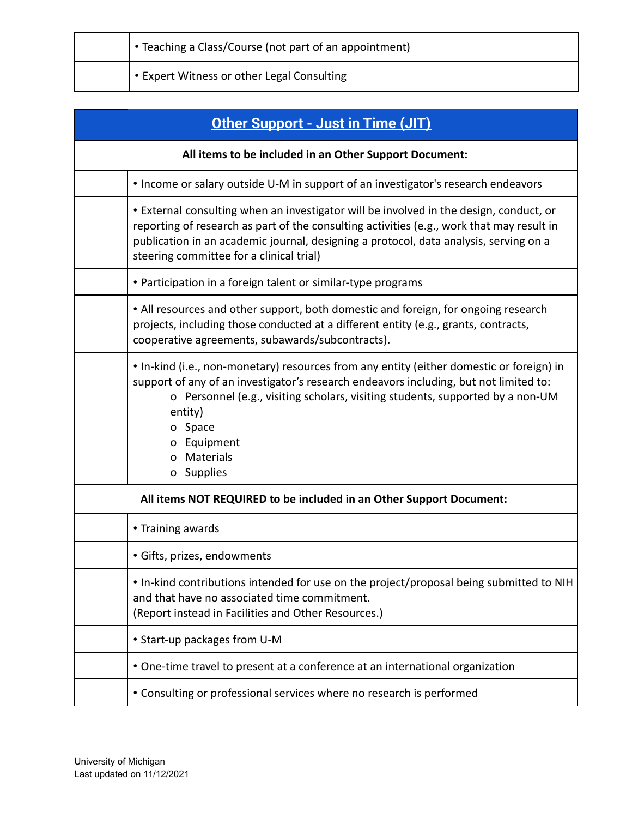| • Teaching a Class/Course (not part of an appointment) |
|--------------------------------------------------------|
| . • Expert Witness or other Legal Consulting           |

| Other Support - Just in Time (JIT)                                                                                                                                                                                                                                                                                                       |  |  |
|------------------------------------------------------------------------------------------------------------------------------------------------------------------------------------------------------------------------------------------------------------------------------------------------------------------------------------------|--|--|
| All items to be included in an Other Support Document:                                                                                                                                                                                                                                                                                   |  |  |
| • Income or salary outside U-M in support of an investigator's research endeavors                                                                                                                                                                                                                                                        |  |  |
| • External consulting when an investigator will be involved in the design, conduct, or<br>reporting of research as part of the consulting activities (e.g., work that may result in<br>publication in an academic journal, designing a protocol, data analysis, serving on a<br>steering committee for a clinical trial)                 |  |  |
| • Participation in a foreign talent or similar-type programs                                                                                                                                                                                                                                                                             |  |  |
| • All resources and other support, both domestic and foreign, for ongoing research<br>projects, including those conducted at a different entity (e.g., grants, contracts,<br>cooperative agreements, subawards/subcontracts).                                                                                                            |  |  |
| • In-kind (i.e., non-monetary) resources from any entity (either domestic or foreign) in<br>support of any of an investigator's research endeavors including, but not limited to:<br>o Personnel (e.g., visiting scholars, visiting students, supported by a non-UM<br>entity)<br>o Space<br>o Equipment<br>Materials<br>0<br>o Supplies |  |  |
| All items NOT REQUIRED to be included in an Other Support Document:                                                                                                                                                                                                                                                                      |  |  |
| • Training awards                                                                                                                                                                                                                                                                                                                        |  |  |
| · Gifts, prizes, endowments                                                                                                                                                                                                                                                                                                              |  |  |
| . In-kind contributions intended for use on the project/proposal being submitted to NIH<br>and that have no associated time commitment.<br>(Report instead in Facilities and Other Resources.)                                                                                                                                           |  |  |
| • Start-up packages from U-M                                                                                                                                                                                                                                                                                                             |  |  |
| • One-time travel to present at a conference at an international organization                                                                                                                                                                                                                                                            |  |  |
| • Consulting or professional services where no research is performed                                                                                                                                                                                                                                                                     |  |  |